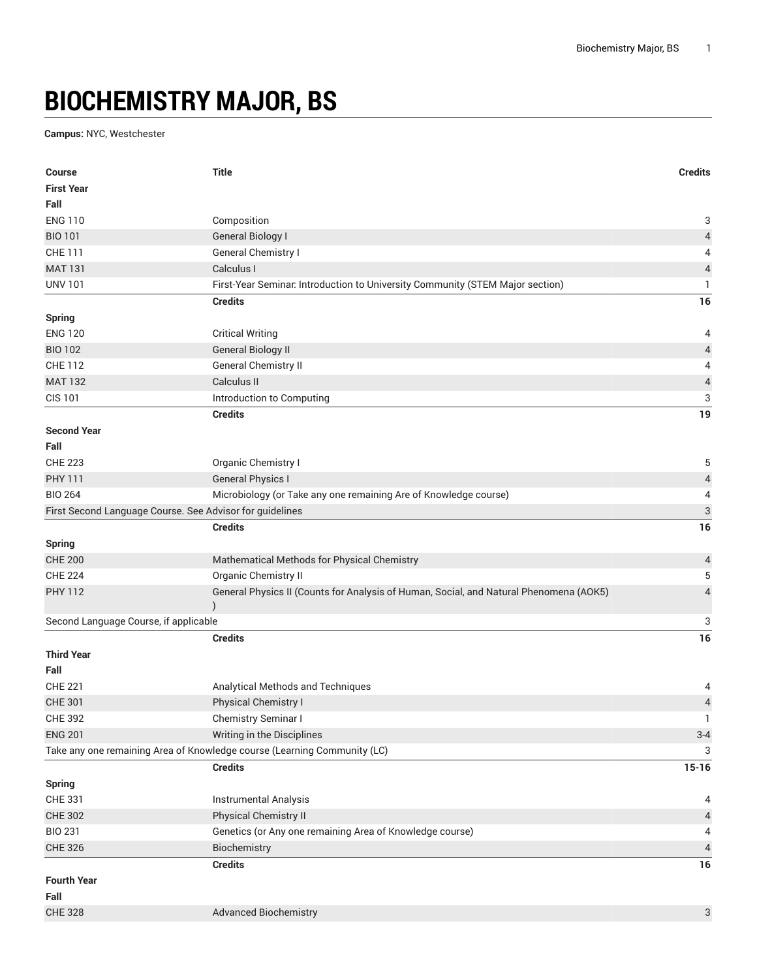## **BIOCHEMISTRY MAJOR, BS**

## **Campus:** NYC, Westchester

| <b>Course</b>                                            | <b>Title</b>                                                                           | <b>Credits</b>            |
|----------------------------------------------------------|----------------------------------------------------------------------------------------|---------------------------|
| <b>First Year</b>                                        |                                                                                        |                           |
| Fall                                                     |                                                                                        |                           |
| <b>ENG 110</b>                                           | Composition                                                                            | 3                         |
| <b>BIO 101</b>                                           | <b>General Biology I</b>                                                               | 4                         |
| <b>CHE 111</b>                                           | General Chemistry I                                                                    | 4                         |
| <b>MAT 131</b>                                           | Calculus I                                                                             | 4                         |
| <b>UNV 101</b>                                           | First-Year Seminar. Introduction to University Community (STEM Major section)          | 1                         |
|                                                          | <b>Credits</b>                                                                         | 16                        |
| <b>Spring</b>                                            |                                                                                        |                           |
| <b>ENG 120</b>                                           | <b>Critical Writing</b>                                                                | 4                         |
| <b>BIO 102</b>                                           | <b>General Biology II</b>                                                              | $\sqrt{4}$                |
| <b>CHE 112</b>                                           | General Chemistry II                                                                   | 4                         |
| <b>MAT 132</b>                                           | Calculus II                                                                            | $\sqrt{4}$                |
| <b>CIS 101</b>                                           | Introduction to Computing                                                              | 3                         |
|                                                          | <b>Credits</b>                                                                         | 19                        |
| <b>Second Year</b>                                       |                                                                                        |                           |
| Fall                                                     |                                                                                        |                           |
| <b>CHE 223</b>                                           | Organic Chemistry I                                                                    | 5                         |
| <b>PHY 111</b>                                           | <b>General Physics I</b>                                                               | $\overline{\mathcal{A}}$  |
| <b>BIO 264</b>                                           | Microbiology (or Take any one remaining Are of Knowledge course)                       | 4                         |
| First Second Language Course. See Advisor for guidelines |                                                                                        | $\ensuremath{\mathsf{3}}$ |
|                                                          | <b>Credits</b>                                                                         | 16                        |
| <b>Spring</b>                                            |                                                                                        |                           |
| <b>CHE 200</b>                                           | Mathematical Methods for Physical Chemistry                                            | $\overline{a}$            |
| <b>CHE 224</b>                                           | Organic Chemistry II                                                                   | 5                         |
| <b>PHY 112</b>                                           | General Physics II (Counts for Analysis of Human, Social, and Natural Phenomena (AOK5) | 4                         |
| Second Language Course, if applicable                    |                                                                                        | 3                         |
|                                                          | <b>Credits</b>                                                                         | 16                        |
| <b>Third Year</b><br>Fall                                |                                                                                        |                           |
| <b>CHE 221</b>                                           | Analytical Methods and Techniques                                                      | 4                         |
| <b>CHE 301</b>                                           | Physical Chemistry I                                                                   | $\overline{4}$            |
| <b>CHE 392</b>                                           | Chemistry Seminar I                                                                    | Τ.                        |
| <b>ENG 201</b>                                           | Writing in the Disciplines                                                             | $3 - 4$                   |
|                                                          | Take any one remaining Area of Knowledge course (Learning Community (LC)               | 3                         |
|                                                          | <b>Credits</b>                                                                         | $15 - 16$                 |
| <b>Spring</b>                                            |                                                                                        |                           |
| CHE 331                                                  | Instrumental Analysis                                                                  | 4                         |
| <b>CHE 302</b>                                           | Physical Chemistry II                                                                  | 4                         |
| <b>BIO 231</b>                                           | Genetics (or Any one remaining Area of Knowledge course)                               | 4                         |
| <b>CHE 326</b>                                           | Biochemistry                                                                           | $\overline{4}$            |
|                                                          | <b>Credits</b>                                                                         | $16$                      |
| <b>Fourth Year</b>                                       |                                                                                        |                           |
| Fall                                                     |                                                                                        |                           |
| <b>CHE 328</b>                                           | <b>Advanced Biochemistry</b>                                                           | 3                         |